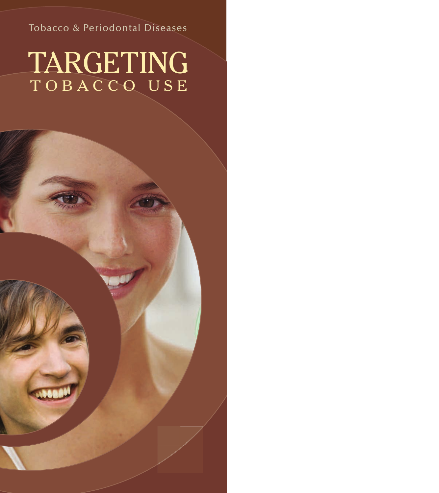## Tobacco & Periodontal Diseases

# TOBACCO USE TARGETING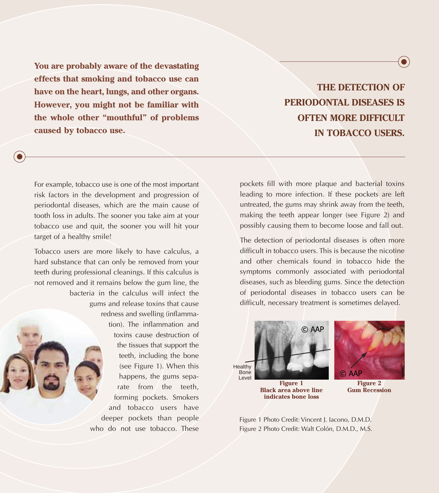**You are probably aware of the devastating effects that smoking and tobacco use can have on the heart, lungs, and other organs. However, you might not be familiar with the whole other "mouthful" of problems caused by tobacco use.** 

For example, tobacco use is one of the most important risk factors in the development and progression of periodontal diseases, which are the main cause of tooth loss in adults. The sooner you take aim at your tobacco use and quit, the sooner you will hit your target of a healthy smile!

Tobacco users are more likely to have calculus, a hard substance that can only be removed from your teeth during professional cleanings. If this calculus is not removed and it remains below the gum line, the bacteria in the calculus will infect the gums and release toxins that cause redness and swelling (inflammation). The inflammation and toxins cause destruction of the tissues that support the teeth, including the bone (see Figure 1). When this happens, the gums separate from the teeth, forming pockets. Smokers and tobacco users have deeper pockets than people who do not use tobacco. These

**THE DETECTION OF PERIODONTAL DISEASES IS OFTEN MORE DIFFICULT IN TOBACCO USERS.** 

 $\bullet$ 

pockets fill with more plaque and bacterial toxins leading to more infection. If these pockets are left untreated, the gums may shrink away from the teeth, making the teeth appear longer (see Figure 2) and possibly causing them to become loose and fall out.

The detection of periodontal diseases is often more difficult in tobacco users. This is because the nicotine and other chemicals found in tobacco hide the symptoms commonly associated with periodontal diseases, such as bleeding gums. Since the detection of periodontal diseases in tobacco users can be difficult, necessary treatment is sometimes delayed.





**Figure 1 Black area above line indicates bone loss**

**Figure 2 Gum Recession**

Figure 1 Photo Credit: Vincent J. Iacono, D.M.D. Figure 2 Photo Credit: Walt Colón, D.M.D., M.S.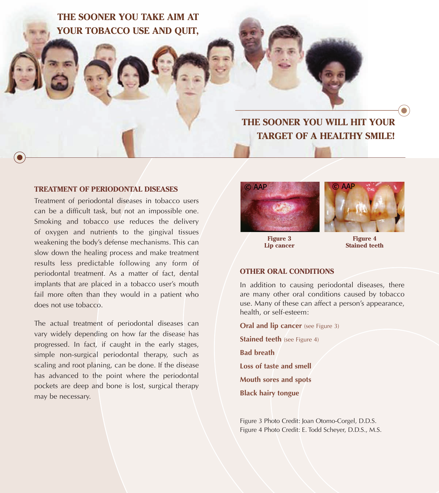**THE SOONER YOU TAKE AIM AT YOUR TOBACCO USE AND QUIT,**

## **THE SOONER YOU WILL HIT YOUR TARGET OF A HEALTHY SMILE!**

#### **TREATMENT OF PERIODONTAL DISEASES**

Treatment of periodontal diseases in tobacco users can be a difficult task, but not an impossible one. Smoking and tobacco use reduces the delivery of oxygen and nutrients to the gingival tissues weakening the body's defense mechanisms. This can slow down the healing process and make treatment results less predictable following any form of periodontal treatment. As a matter of fact, dental implants that are placed in a tobacco user's mouth fail more often than they would in a patient who does not use tobacco.

The actual treatment of periodontal diseases can vary widely depending on how far the disease has progressed. In fact, if caught in the early stages, simple non-surgical periodontal therapy, such as scaling and root planing, can be done. If the disease has advanced to the point where the periodontal pockets are deep and bone is lost, surgical therapy may be necessary.



**Figure 3 Lip cancer**

**Figure 4 Stained teeth**

#### **OTHER ORAL CONDITIONS**

In addition to causing periodontal diseases, there are many other oral conditions caused by tobacco use. Many of these can affect a person's appearance, health, or self-esteem:

**Oral and lip cancer** (see Figure 3) **Stained teeth** (see Figure 4) **Bad breath Loss of taste and smell Mouth sores and spots Black hairy tongue** 

Figure 3 Photo Credit: Joan Otomo-Corgel, D.D.S. Figure 4 Photo Credit: E. Todd Scheyer, D.D.S., M.S.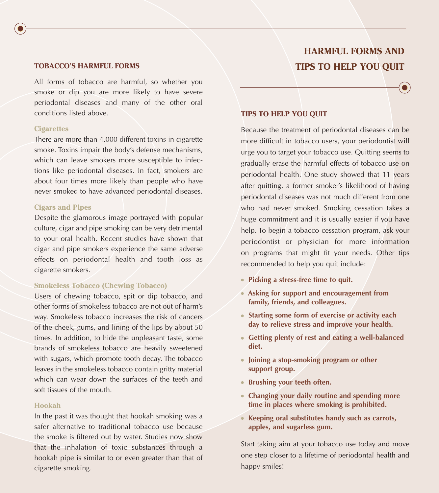#### **TOBACCO'S HARMFUL FORMS**

All forms of tobacco are harmful, so whether you smoke or dip you are more likely to have severe periodontal diseases and many of the other oral conditions listed above.

#### **Cigarettes**

There are more than 4,000 different toxins in cigarette smoke. Toxins impair the body's defense mechanisms, which can leave smokers more susceptible to infections like periodontal diseases. In fact, smokers are about four times more likely than people who have never smoked to have advanced periodontal diseases.

#### **Cigars and Pipes**

Despite the glamorous image portrayed with popular culture, cigar and pipe smoking can be very detrimental to your oral health. Recent studies have shown that cigar and pipe smokers experience the same adverse effects on periodontal health and tooth loss as cigarette smokers.

#### **Smokeless Tobacco (Chewing Tobacco)**

Users of chewing tobacco, spit or dip tobacco, and other forms of smokeless tobacco are not out of harm's way. Smokeless tobacco increases the risk of cancers of the cheek, gums, and lining of the lips by about 50 times. In addition, to hide the unpleasant taste, some brands of smokeless tobacco are heavily sweetened with sugars, which promote tooth decay. The tobacco leaves in the smokeless tobacco contain gritty material which can wear down the surfaces of the teeth and soft tissues of the mouth.

#### **Hookah**

In the past it was thought that hookah smoking was a safer alternative to traditional tobacco use because the smoke is filtered out by water. Studies now show that the inhalation of toxic substances through a hookah pipe is similar to or even greater than that of cigarette smoking.

## **HARMFUL FORMS AND TIPS TO HELP YOU QUIT**

#### **TIPS TO HELP YOU QUIT**

Because the treatment of periodontal diseases can be more difficult in tobacco users, your periodontist will urge you to target your tobacco use. Quitting seems to gradually erase the harmful effects of tobacco use on periodontal health. One study showed that 11 years after quitting, a former smoker's likelihood of having periodontal diseases was not much different from one who had never smoked. Smoking cessation takes a huge commitment and it is usually easier if you have help. To begin a tobacco cessation program, ask your periodontist or physician for more information on programs that might fit your needs. Other tips recommended to help you quit include:

- **Picking a stress-free time to quit.**
- **Asking for support and encouragement from family, friends, and colleagues.**
- **Starting some form of exercise or activity each day to relieve stress and improve your health.**
- **Getting plenty of rest and eating a well-balanced diet.**
- **Joining a stop-smoking program or other support group.**
- **Brushing your teeth often.**
- **Changing your daily routine and spending more time in places where smoking is prohibited.**
- **Keeping oral substitutes handy such as carrots, apples, and sugarless gum.**

Start taking aim at your tobacco use today and move one step closer to a lifetime of periodontal health and happy smiles!